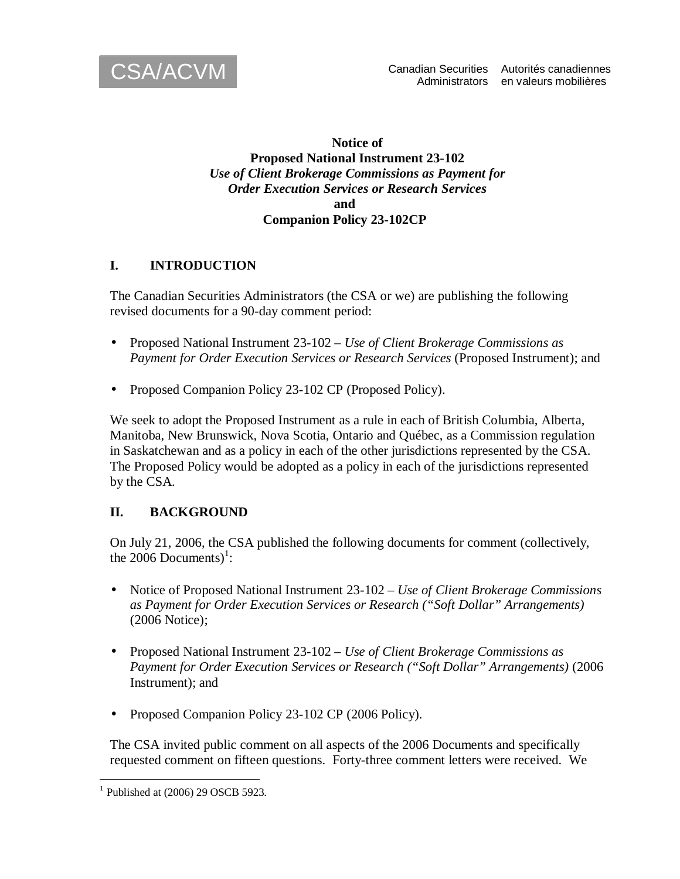

#### **Notice of Proposed National Instrument 23-102**  *Use of Client Brokerage Commissions as Payment for Order Execution Services or Research Services*  **and Companion Policy 23-102CP**

#### **I. INTRODUCTION**

The Canadian Securities Administrators (the CSA or we) are publishing the following revised documents for a 90-day comment period:

- Proposed National Instrument 23-102 *Use of Client Brokerage Commissions as Payment for Order Execution Services or Research Services* (Proposed Instrument); and
- Proposed Companion Policy 23-102 CP (Proposed Policy).

We seek to adopt the Proposed Instrument as a rule in each of British Columbia, Alberta, Manitoba, New Brunswick, Nova Scotia, Ontario and Québec, as a Commission regulation in Saskatchewan and as a policy in each of the other jurisdictions represented by the CSA. The Proposed Policy would be adopted as a policy in each of the jurisdictions represented by the CSA.

# **II. BACKGROUND**

On July 21, 2006, the CSA published the following documents for comment (collectively, the 2006 Documents $)^1$ :

- Notice of Proposed National Instrument 23-102 *Use of Client Brokerage Commissions as Payment for Order Execution Services or Research ("Soft Dollar" Arrangements)* (2006 Notice);
- Proposed National Instrument 23-102 *Use of Client Brokerage Commissions as Payment for Order Execution Services or Research ("Soft Dollar" Arrangements)* (2006 Instrument); and
- Proposed Companion Policy 23-102 CP (2006 Policy).

The CSA invited public comment on all aspects of the 2006 Documents and specifically requested comment on fifteen questions. Forty-three comment letters were received. We

<sup>&</sup>lt;sup>1</sup> Published at (2006) 29 OSCB 5923.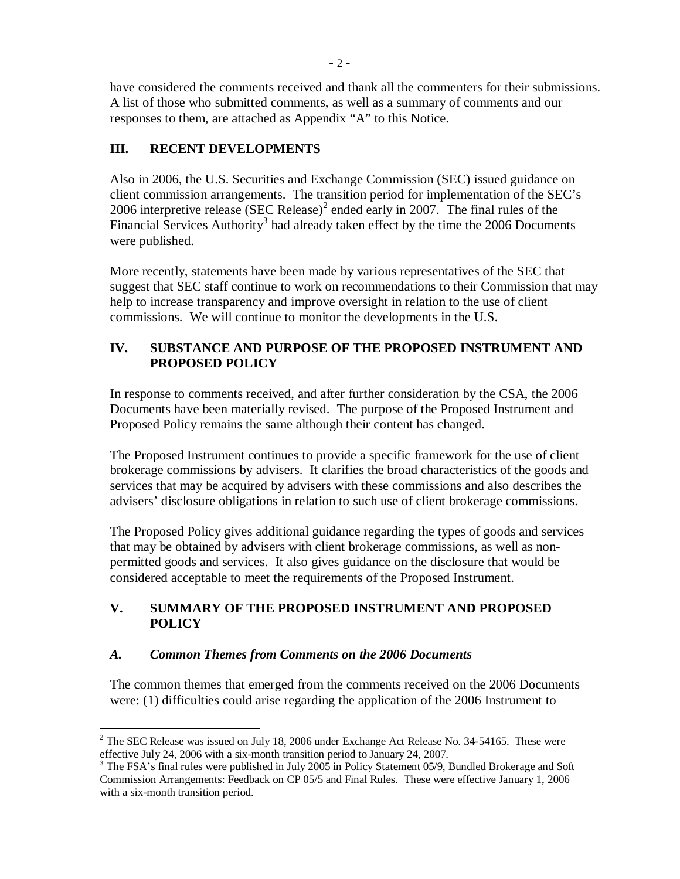have considered the comments received and thank all the commenters for their submissions. A list of those who submitted comments, as well as a summary of comments and our responses to them, are attached as Appendix "A" to this Notice.

## **III. RECENT DEVELOPMENTS**

Also in 2006, the U.S. Securities and Exchange Commission (SEC) issued guidance on client commission arrangements. The transition period for implementation of the SEC's 2006 interpretive release (SEC Release)<sup>2</sup> ended early in 2007. The final rules of the Financial Services Authority<sup>3</sup> had already taken effect by the time the 2006 Documents were published.

More recently, statements have been made by various representatives of the SEC that suggest that SEC staff continue to work on recommendations to their Commission that may help to increase transparency and improve oversight in relation to the use of client commissions. We will continue to monitor the developments in the U.S.

#### **IV. SUBSTANCE AND PURPOSE OF THE PROPOSED INSTRUMENT AND PROPOSED POLICY**

In response to comments received, and after further consideration by the CSA, the 2006 Documents have been materially revised. The purpose of the Proposed Instrument and Proposed Policy remains the same although their content has changed.

The Proposed Instrument continues to provide a specific framework for the use of client brokerage commissions by advisers. It clarifies the broad characteristics of the goods and services that may be acquired by advisers with these commissions and also describes the advisers' disclosure obligations in relation to such use of client brokerage commissions.

The Proposed Policy gives additional guidance regarding the types of goods and services that may be obtained by advisers with client brokerage commissions, as well as nonpermitted goods and services. It also gives guidance on the disclosure that would be considered acceptable to meet the requirements of the Proposed Instrument.

## **V. SUMMARY OF THE PROPOSED INSTRUMENT AND PROPOSED POLICY**

#### *A. Common Themes from Comments on the 2006 Documents*

The common themes that emerged from the comments received on the 2006 Documents were: (1) difficulties could arise regarding the application of the 2006 Instrument to

<sup>&</sup>lt;sup>2</sup> The SEC Release was issued on July 18, 2006 under Exchange Act Release No. 34-54165. These were effective July 24, 2006 with a six-month transition period to January 24, 2007.

 $3$  The FSA's final rules were published in July 2005 in Policy Statement 05/9, Bundled Brokerage and Soft Commission Arrangements: Feedback on CP 05/5 and Final Rules. These were effective January 1, 2006 with a six-month transition period.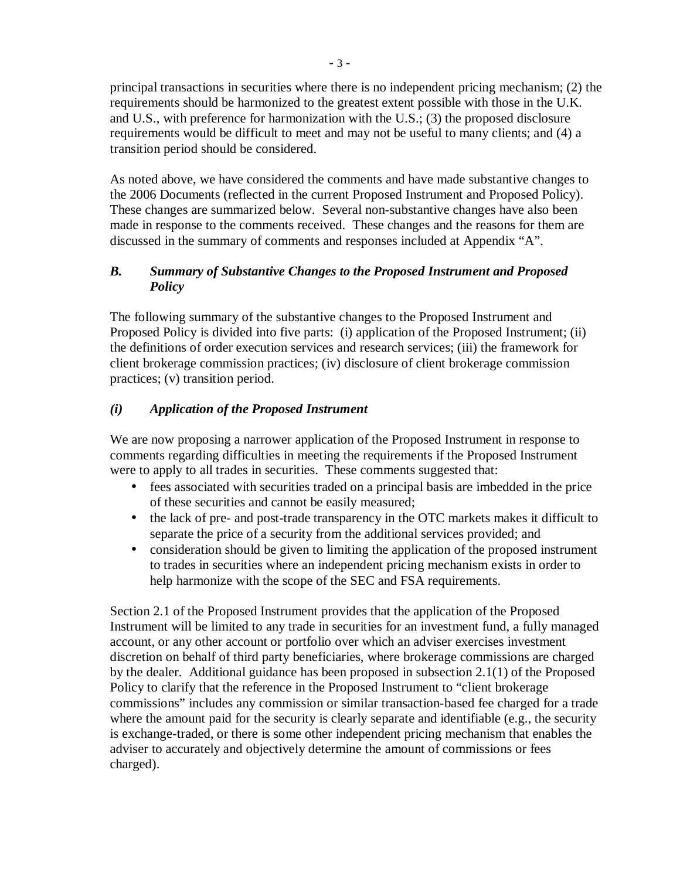principal transactions in securities where there is no independent pricing mechanism; (2) the requirements should be harmonized to the greatest extent possible with those in the U.K. and U.S., with preference for harmonization with the U.S.; (3) the proposed disclosure requirements would be difficult to meet and may not be useful to many clients; and (4) a transition period should be considered.

As noted above, we have considered the comments and have made substantive changes to the 2006 Documents (reflected in the current Proposed Instrument and Proposed Policy). These changes are summarized below. Several non-substantive changes have also been made in response to the comments received. These changes and the reasons for them are discussed in the summary of comments and responses included at Appendix "A".

#### *B. Summary of Substantive Changes to the Proposed Instrument and Proposed Policy*

The following summary of the substantive changes to the Proposed Instrument and Proposed Policy is divided into five parts: (i) application of the Proposed Instrument; (ii) the definitions of order execution services and research services; (iii) the framework for client brokerage commission practices; (iv) disclosure of client brokerage commission practices; (v) transition period.

## *(i) Application of the Proposed Instrument*

We are now proposing a narrower application of the Proposed Instrument in response to comments regarding difficulties in meeting the requirements if the Proposed Instrument were to apply to all trades in securities. These comments suggested that:

- fees associated with securities traded on a principal basis are imbedded in the price of these securities and cannot be easily measured;
- the lack of pre- and post-trade transparency in the OTC markets makes it difficult to separate the price of a security from the additional services provided; and
- consideration should be given to limiting the application of the proposed instrument to trades in securities where an independent pricing mechanism exists in order to help harmonize with the scope of the SEC and FSA requirements.

Section 2.1 of the Proposed Instrument provides that the application of the Proposed Instrument will be limited to any trade in securities for an investment fund, a fully managed account, or any other account or portfolio over which an adviser exercises investment discretion on behalf of third party beneficiaries, where brokerage commissions are charged by the dealer. Additional guidance has been proposed in subsection 2.1(1) of the Proposed Policy to clarify that the reference in the Proposed Instrument to "client brokerage commissions" includes any commission or similar transaction-based fee charged for a trade where the amount paid for the security is clearly separate and identifiable (e.g., the security is exchange-traded, or there is some other independent pricing mechanism that enables the adviser to accurately and objectively determine the amount of commissions or fees charged).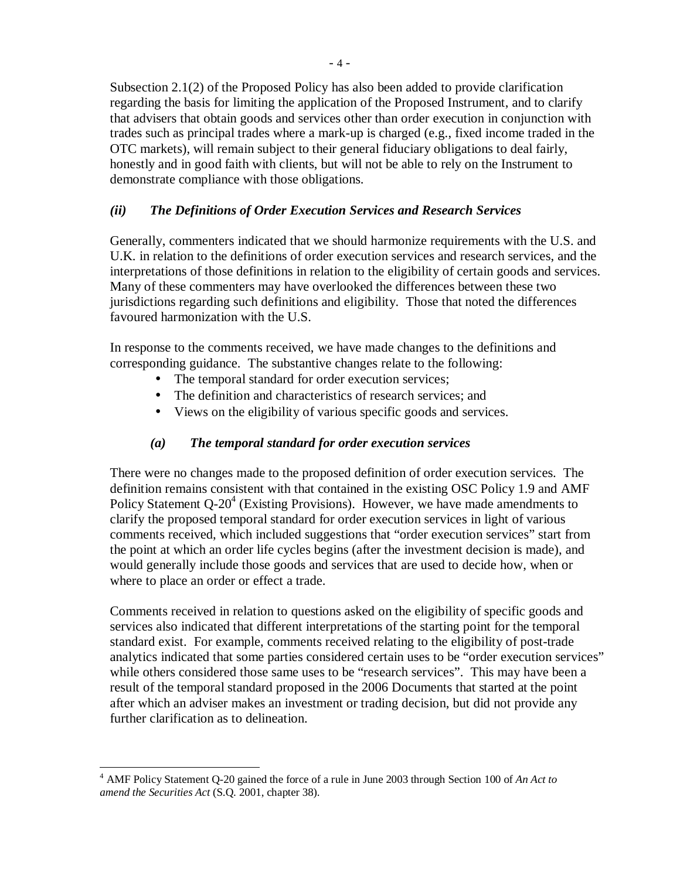Subsection 2.1(2) of the Proposed Policy has also been added to provide clarification regarding the basis for limiting the application of the Proposed Instrument, and to clarify that advisers that obtain goods and services other than order execution in conjunction with trades such as principal trades where a mark-up is charged (e.g., fixed income traded in the OTC markets), will remain subject to their general fiduciary obligations to deal fairly, honestly and in good faith with clients, but will not be able to rely on the Instrument to demonstrate compliance with those obligations.

#### *(ii) The Definitions of Order Execution Services and Research Services*

Generally, commenters indicated that we should harmonize requirements with the U.S. and U.K. in relation to the definitions of order execution services and research services, and the interpretations of those definitions in relation to the eligibility of certain goods and services. Many of these commenters may have overlooked the differences between these two jurisdictions regarding such definitions and eligibility. Those that noted the differences favoured harmonization with the U.S.

In response to the comments received, we have made changes to the definitions and corresponding guidance. The substantive changes relate to the following:

- The temporal standard for order execution services;
- The definition and characteristics of research services; and
- Views on the eligibility of various specific goods and services.

# *(a) The temporal standard for order execution services*

There were no changes made to the proposed definition of order execution services. The definition remains consistent with that contained in the existing OSC Policy 1.9 and AMF Policy Statement  $Q-20^4$  (Existing Provisions). However, we have made amendments to clarify the proposed temporal standard for order execution services in light of various comments received, which included suggestions that "order execution services" start from the point at which an order life cycles begins (after the investment decision is made), and would generally include those goods and services that are used to decide how, when or where to place an order or effect a trade.

Comments received in relation to questions asked on the eligibility of specific goods and services also indicated that different interpretations of the starting point for the temporal standard exist. For example, comments received relating to the eligibility of post-trade analytics indicated that some parties considered certain uses to be "order execution services" while others considered those same uses to be "research services". This may have been a result of the temporal standard proposed in the 2006 Documents that started at the point after which an adviser makes an investment or trading decision, but did not provide any further clarification as to delineation.

 4 AMF Policy Statement Q-20 gained the force of a rule in June 2003 through Section 100 of *An Act to amend the Securities Act* (S.Q. 2001, chapter 38).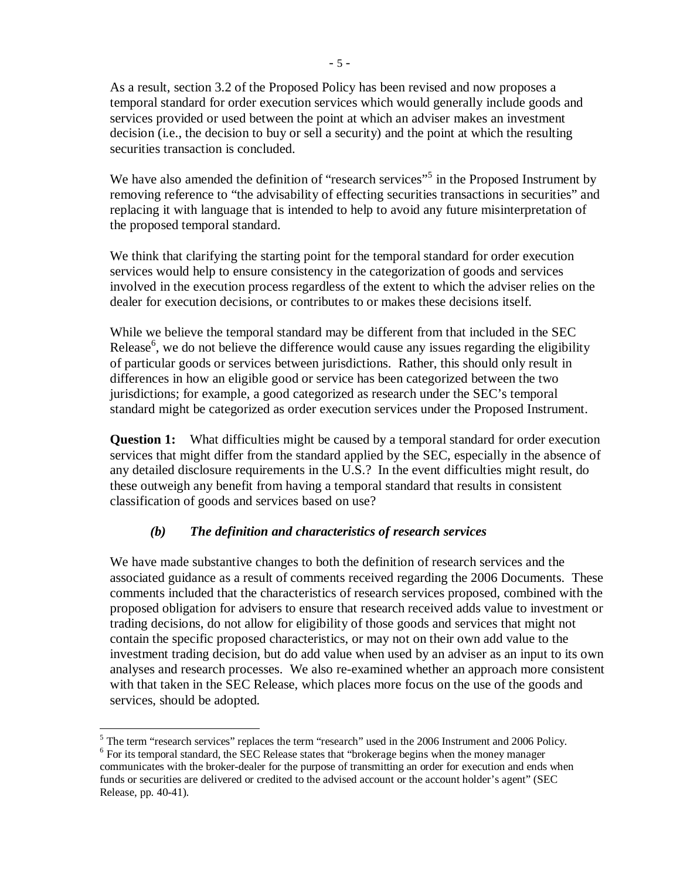As a result, section 3.2 of the Proposed Policy has been revised and now proposes a temporal standard for order execution services which would generally include goods and services provided or used between the point at which an adviser makes an investment decision (i.e., the decision to buy or sell a security) and the point at which the resulting securities transaction is concluded.

We have also amended the definition of "research services"<sup>5</sup> in the Proposed Instrument by removing reference to "the advisability of effecting securities transactions in securities" and replacing it with language that is intended to help to avoid any future misinterpretation of the proposed temporal standard.

We think that clarifying the starting point for the temporal standard for order execution services would help to ensure consistency in the categorization of goods and services involved in the execution process regardless of the extent to which the adviser relies on the dealer for execution decisions, or contributes to or makes these decisions itself.

While we believe the temporal standard may be different from that included in the SEC Release<sup>6</sup>, we do not believe the difference would cause any issues regarding the eligibility of particular goods or services between jurisdictions. Rather, this should only result in differences in how an eligible good or service has been categorized between the two jurisdictions; for example, a good categorized as research under the SEC's temporal standard might be categorized as order execution services under the Proposed Instrument.

**Question 1:** What difficulties might be caused by a temporal standard for order execution services that might differ from the standard applied by the SEC, especially in the absence of any detailed disclosure requirements in the U.S.? In the event difficulties might result, do these outweigh any benefit from having a temporal standard that results in consistent classification of goods and services based on use?

# *(b) The definition and characteristics of research services*

We have made substantive changes to both the definition of research services and the associated guidance as a result of comments received regarding the 2006 Documents. These comments included that the characteristics of research services proposed, combined with the proposed obligation for advisers to ensure that research received adds value to investment or trading decisions, do not allow for eligibility of those goods and services that might not contain the specific proposed characteristics, or may not on their own add value to the investment trading decision, but do add value when used by an adviser as an input to its own analyses and research processes. We also re-examined whether an approach more consistent with that taken in the SEC Release, which places more focus on the use of the goods and services, should be adopted.

<sup>&</sup>lt;sup>5</sup> The term "research services" replaces the term "research" used in the 2006 Instrument and 2006 Policy. <sup>6</sup> For its temporal standard, the SEC Release states that "brokerage begins when the money manager communicates with the broker-dealer for the purpose of transmitting an order for execution and ends when funds or securities are delivered or credited to the advised account or the account holder's agent" (SEC Release, pp. 40-41).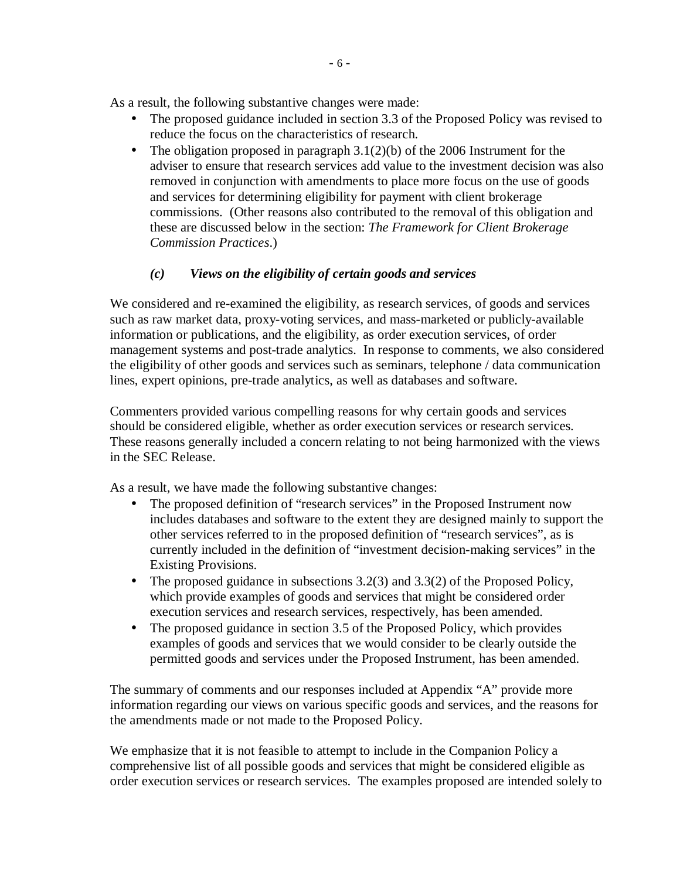As a result, the following substantive changes were made:

- The proposed guidance included in section 3.3 of the Proposed Policy was revised to reduce the focus on the characteristics of research.
- The obligation proposed in paragraph  $3.1(2)(b)$  of the 2006 Instrument for the adviser to ensure that research services add value to the investment decision was also removed in conjunction with amendments to place more focus on the use of goods and services for determining eligibility for payment with client brokerage commissions. (Other reasons also contributed to the removal of this obligation and these are discussed below in the section: *The Framework for Client Brokerage Commission Practices*.)

## *(c) Views on the eligibility of certain goods and services*

We considered and re-examined the eligibility, as research services, of goods and services such as raw market data, proxy-voting services, and mass-marketed or publicly-available information or publications, and the eligibility, as order execution services, of order management systems and post-trade analytics. In response to comments, we also considered the eligibility of other goods and services such as seminars, telephone / data communication lines, expert opinions, pre-trade analytics, as well as databases and software.

Commenters provided various compelling reasons for why certain goods and services should be considered eligible, whether as order execution services or research services. These reasons generally included a concern relating to not being harmonized with the views in the SEC Release.

As a result, we have made the following substantive changes:

- The proposed definition of "research services" in the Proposed Instrument now includes databases and software to the extent they are designed mainly to support the other services referred to in the proposed definition of "research services", as is currently included in the definition of "investment decision-making services" in the Existing Provisions.
- The proposed guidance in subsections  $3.2(3)$  and  $3.3(2)$  of the Proposed Policy, which provide examples of goods and services that might be considered order execution services and research services, respectively, has been amended.
- The proposed guidance in section 3.5 of the Proposed Policy, which provides examples of goods and services that we would consider to be clearly outside the permitted goods and services under the Proposed Instrument, has been amended.

The summary of comments and our responses included at Appendix "A" provide more information regarding our views on various specific goods and services, and the reasons for the amendments made or not made to the Proposed Policy.

We emphasize that it is not feasible to attempt to include in the Companion Policy a comprehensive list of all possible goods and services that might be considered eligible as order execution services or research services. The examples proposed are intended solely to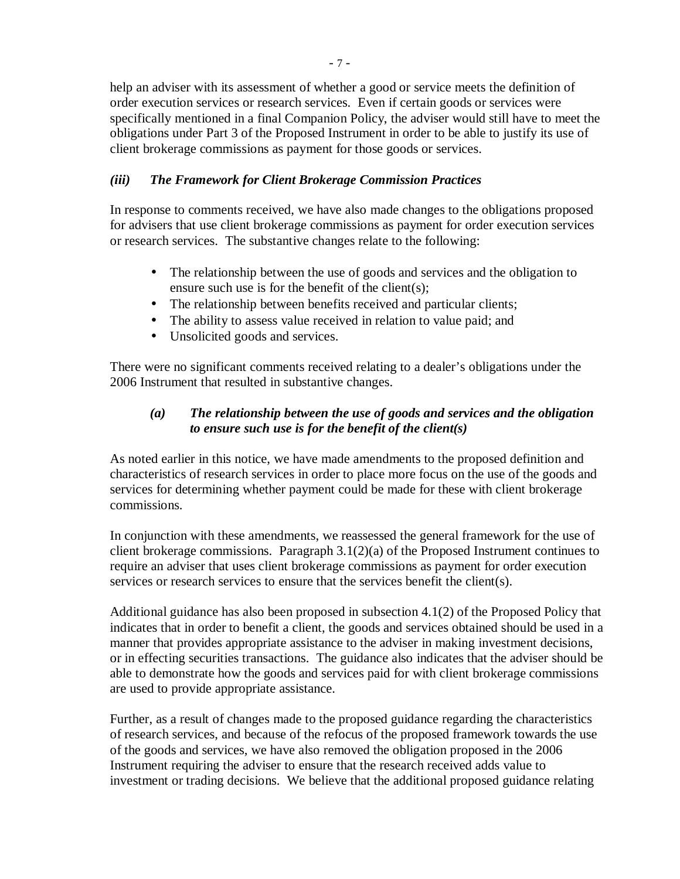help an adviser with its assessment of whether a good or service meets the definition of order execution services or research services. Even if certain goods or services were specifically mentioned in a final Companion Policy, the adviser would still have to meet the obligations under Part 3 of the Proposed Instrument in order to be able to justify its use of client brokerage commissions as payment for those goods or services.

## *(iii) The Framework for Client Brokerage Commission Practices*

In response to comments received, we have also made changes to the obligations proposed for advisers that use client brokerage commissions as payment for order execution services or research services. The substantive changes relate to the following:

- The relationship between the use of goods and services and the obligation to ensure such use is for the benefit of the client(s);
- The relationship between benefits received and particular clients;
- The ability to assess value received in relation to value paid; and
- Unsolicited goods and services.

There were no significant comments received relating to a dealer's obligations under the 2006 Instrument that resulted in substantive changes.

#### *(a) The relationship between the use of goods and services and the obligation to ensure such use is for the benefit of the client(s)*

As noted earlier in this notice, we have made amendments to the proposed definition and characteristics of research services in order to place more focus on the use of the goods and services for determining whether payment could be made for these with client brokerage commissions.

In conjunction with these amendments, we reassessed the general framework for the use of client brokerage commissions. Paragraph 3.1(2)(a) of the Proposed Instrument continues to require an adviser that uses client brokerage commissions as payment for order execution services or research services to ensure that the services benefit the client(s).

Additional guidance has also been proposed in subsection 4.1(2) of the Proposed Policy that indicates that in order to benefit a client, the goods and services obtained should be used in a manner that provides appropriate assistance to the adviser in making investment decisions, or in effecting securities transactions. The guidance also indicates that the adviser should be able to demonstrate how the goods and services paid for with client brokerage commissions are used to provide appropriate assistance.

Further, as a result of changes made to the proposed guidance regarding the characteristics of research services, and because of the refocus of the proposed framework towards the use of the goods and services, we have also removed the obligation proposed in the 2006 Instrument requiring the adviser to ensure that the research received adds value to investment or trading decisions. We believe that the additional proposed guidance relating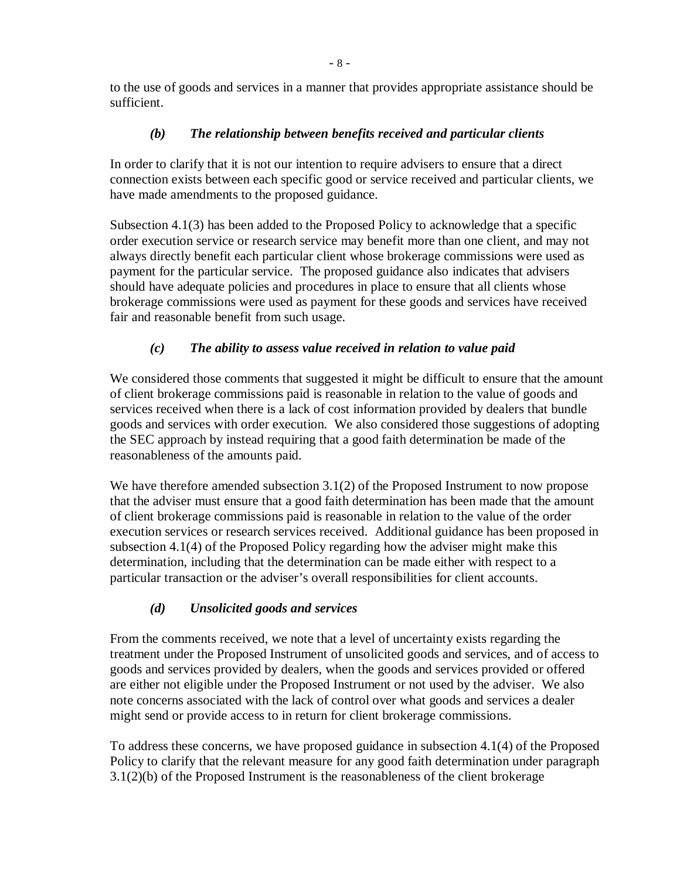to the use of goods and services in a manner that provides appropriate assistance should be sufficient.

## *(b) The relationship between benefits received and particular clients*

In order to clarify that it is not our intention to require advisers to ensure that a direct connection exists between each specific good or service received and particular clients, we have made amendments to the proposed guidance.

Subsection 4.1(3) has been added to the Proposed Policy to acknowledge that a specific order execution service or research service may benefit more than one client, and may not always directly benefit each particular client whose brokerage commissions were used as payment for the particular service. The proposed guidance also indicates that advisers should have adequate policies and procedures in place to ensure that all clients whose brokerage commissions were used as payment for these goods and services have received fair and reasonable benefit from such usage.

# *(c) The ability to assess value received in relation to value paid*

We considered those comments that suggested it might be difficult to ensure that the amount of client brokerage commissions paid is reasonable in relation to the value of goods and services received when there is a lack of cost information provided by dealers that bundle goods and services with order execution. We also considered those suggestions of adopting the SEC approach by instead requiring that a good faith determination be made of the reasonableness of the amounts paid.

We have therefore amended subsection 3.1(2) of the Proposed Instrument to now propose that the adviser must ensure that a good faith determination has been made that the amount of client brokerage commissions paid is reasonable in relation to the value of the order execution services or research services received. Additional guidance has been proposed in subsection 4.1(4) of the Proposed Policy regarding how the adviser might make this determination, including that the determination can be made either with respect to a particular transaction or the adviser's overall responsibilities for client accounts.

# *(d) Unsolicited goods and services*

From the comments received, we note that a level of uncertainty exists regarding the treatment under the Proposed Instrument of unsolicited goods and services, and of access to goods and services provided by dealers, when the goods and services provided or offered are either not eligible under the Proposed Instrument or not used by the adviser. We also note concerns associated with the lack of control over what goods and services a dealer might send or provide access to in return for client brokerage commissions.

To address these concerns, we have proposed guidance in subsection 4.1(4) of the Proposed Policy to clarify that the relevant measure for any good faith determination under paragraph 3.1(2)(b) of the Proposed Instrument is the reasonableness of the client brokerage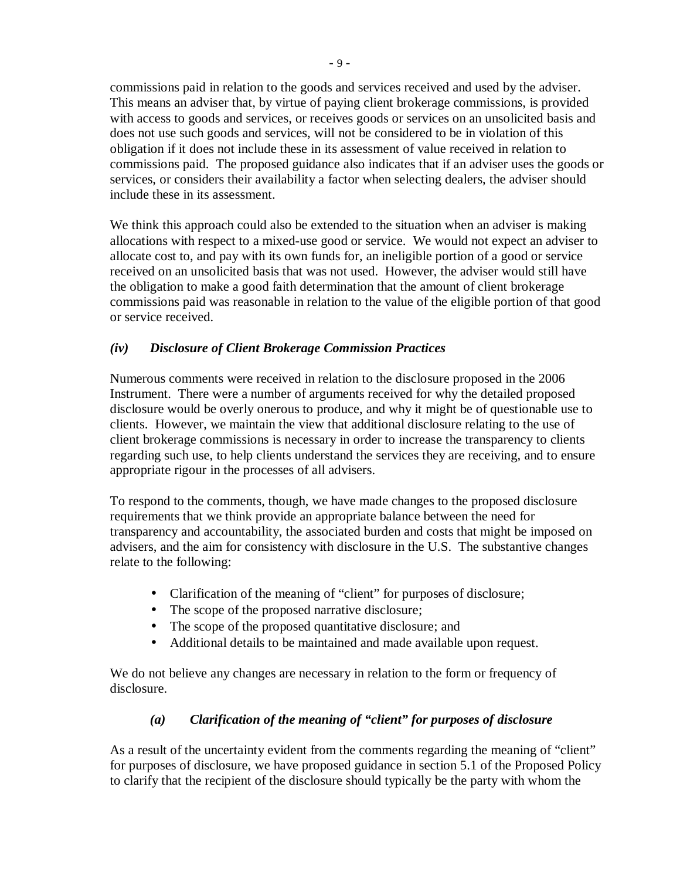commissions paid in relation to the goods and services received and used by the adviser. This means an adviser that, by virtue of paying client brokerage commissions, is provided with access to goods and services, or receives goods or services on an unsolicited basis and does not use such goods and services, will not be considered to be in violation of this obligation if it does not include these in its assessment of value received in relation to commissions paid. The proposed guidance also indicates that if an adviser uses the goods or services, or considers their availability a factor when selecting dealers, the adviser should include these in its assessment.

We think this approach could also be extended to the situation when an adviser is making allocations with respect to a mixed-use good or service. We would not expect an adviser to allocate cost to, and pay with its own funds for, an ineligible portion of a good or service received on an unsolicited basis that was not used. However, the adviser would still have the obligation to make a good faith determination that the amount of client brokerage commissions paid was reasonable in relation to the value of the eligible portion of that good or service received.

## *(iv) Disclosure of Client Brokerage Commission Practices*

Numerous comments were received in relation to the disclosure proposed in the 2006 Instrument. There were a number of arguments received for why the detailed proposed disclosure would be overly onerous to produce, and why it might be of questionable use to clients. However, we maintain the view that additional disclosure relating to the use of client brokerage commissions is necessary in order to increase the transparency to clients regarding such use, to help clients understand the services they are receiving, and to ensure appropriate rigour in the processes of all advisers.

To respond to the comments, though, we have made changes to the proposed disclosure requirements that we think provide an appropriate balance between the need for transparency and accountability, the associated burden and costs that might be imposed on advisers, and the aim for consistency with disclosure in the U.S. The substantive changes relate to the following:

- Clarification of the meaning of "client" for purposes of disclosure;
- The scope of the proposed narrative disclosure;
- The scope of the proposed quantitative disclosure; and
- Additional details to be maintained and made available upon request.

We do not believe any changes are necessary in relation to the form or frequency of disclosure.

# *(a) Clarification of the meaning of "client" for purposes of disclosure*

As a result of the uncertainty evident from the comments regarding the meaning of "client" for purposes of disclosure, we have proposed guidance in section 5.1 of the Proposed Policy to clarify that the recipient of the disclosure should typically be the party with whom the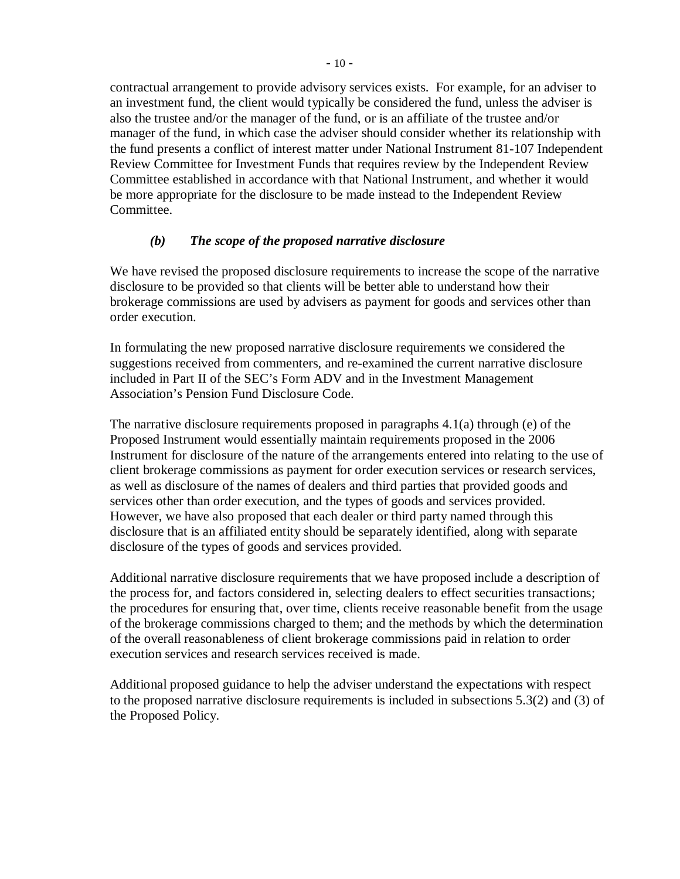contractual arrangement to provide advisory services exists. For example, for an adviser to an investment fund, the client would typically be considered the fund, unless the adviser is also the trustee and/or the manager of the fund, or is an affiliate of the trustee and/or manager of the fund, in which case the adviser should consider whether its relationship with the fund presents a conflict of interest matter under National Instrument 81-107 Independent Review Committee for Investment Funds that requires review by the Independent Review Committee established in accordance with that National Instrument, and whether it would be more appropriate for the disclosure to be made instead to the Independent Review Committee.

#### *(b) The scope of the proposed narrative disclosure*

We have revised the proposed disclosure requirements to increase the scope of the narrative disclosure to be provided so that clients will be better able to understand how their brokerage commissions are used by advisers as payment for goods and services other than order execution.

In formulating the new proposed narrative disclosure requirements we considered the suggestions received from commenters, and re-examined the current narrative disclosure included in Part II of the SEC's Form ADV and in the Investment Management Association's Pension Fund Disclosure Code.

The narrative disclosure requirements proposed in paragraphs 4.1(a) through (e) of the Proposed Instrument would essentially maintain requirements proposed in the 2006 Instrument for disclosure of the nature of the arrangements entered into relating to the use of client brokerage commissions as payment for order execution services or research services, as well as disclosure of the names of dealers and third parties that provided goods and services other than order execution, and the types of goods and services provided. However, we have also proposed that each dealer or third party named through this disclosure that is an affiliated entity should be separately identified, along with separate disclosure of the types of goods and services provided.

Additional narrative disclosure requirements that we have proposed include a description of the process for, and factors considered in, selecting dealers to effect securities transactions; the procedures for ensuring that, over time, clients receive reasonable benefit from the usage of the brokerage commissions charged to them; and the methods by which the determination of the overall reasonableness of client brokerage commissions paid in relation to order execution services and research services received is made.

Additional proposed guidance to help the adviser understand the expectations with respect to the proposed narrative disclosure requirements is included in subsections 5.3(2) and (3) of the Proposed Policy.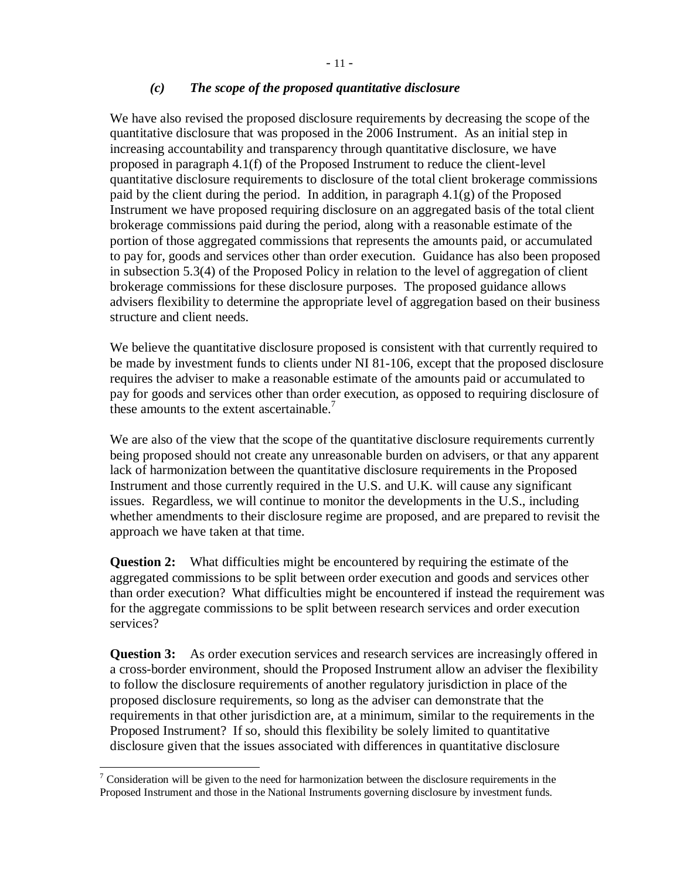#### *(c) The scope of the proposed quantitative disclosure*

We have also revised the proposed disclosure requirements by decreasing the scope of the quantitative disclosure that was proposed in the 2006 Instrument. As an initial step in increasing accountability and transparency through quantitative disclosure, we have proposed in paragraph 4.1(f) of the Proposed Instrument to reduce the client-level quantitative disclosure requirements to disclosure of the total client brokerage commissions paid by the client during the period. In addition, in paragraph  $4.1(g)$  of the Proposed Instrument we have proposed requiring disclosure on an aggregated basis of the total client brokerage commissions paid during the period, along with a reasonable estimate of the portion of those aggregated commissions that represents the amounts paid, or accumulated to pay for, goods and services other than order execution. Guidance has also been proposed in subsection 5.3(4) of the Proposed Policy in relation to the level of aggregation of client brokerage commissions for these disclosure purposes. The proposed guidance allows advisers flexibility to determine the appropriate level of aggregation based on their business structure and client needs.

We believe the quantitative disclosure proposed is consistent with that currently required to be made by investment funds to clients under NI 81-106, except that the proposed disclosure requires the adviser to make a reasonable estimate of the amounts paid or accumulated to pay for goods and services other than order execution, as opposed to requiring disclosure of these amounts to the extent ascertainable. $<sup>7</sup>$ </sup>

We are also of the view that the scope of the quantitative disclosure requirements currently being proposed should not create any unreasonable burden on advisers, or that any apparent lack of harmonization between the quantitative disclosure requirements in the Proposed Instrument and those currently required in the U.S. and U.K. will cause any significant issues. Regardless, we will continue to monitor the developments in the U.S., including whether amendments to their disclosure regime are proposed, and are prepared to revisit the approach we have taken at that time.

**Question 2:** What difficulties might be encountered by requiring the estimate of the aggregated commissions to be split between order execution and goods and services other than order execution? What difficulties might be encountered if instead the requirement was for the aggregate commissions to be split between research services and order execution services?

**Question 3:** As order execution services and research services are increasingly offered in a cross-border environment, should the Proposed Instrument allow an adviser the flexibility to follow the disclosure requirements of another regulatory jurisdiction in place of the proposed disclosure requirements, so long as the adviser can demonstrate that the requirements in that other jurisdiction are, at a minimum, similar to the requirements in the Proposed Instrument? If so, should this flexibility be solely limited to quantitative disclosure given that the issues associated with differences in quantitative disclosure

Transideration will be given to the need for harmonization between the disclosure requirements in the Proposed Instrument and those in the National Instruments governing disclosure by investment funds.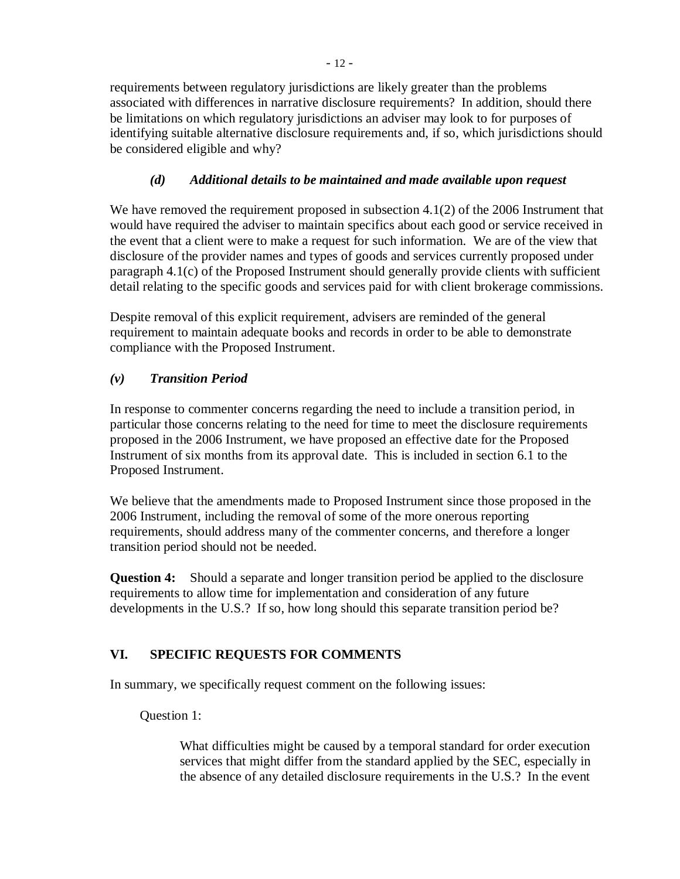requirements between regulatory jurisdictions are likely greater than the problems associated with differences in narrative disclosure requirements? In addition, should there be limitations on which regulatory jurisdictions an adviser may look to for purposes of identifying suitable alternative disclosure requirements and, if so, which jurisdictions should be considered eligible and why?

# *(d) Additional details to be maintained and made available upon request*

We have removed the requirement proposed in subsection 4.1(2) of the 2006 Instrument that would have required the adviser to maintain specifics about each good or service received in the event that a client were to make a request for such information. We are of the view that disclosure of the provider names and types of goods and services currently proposed under paragraph 4.1(c) of the Proposed Instrument should generally provide clients with sufficient detail relating to the specific goods and services paid for with client brokerage commissions.

Despite removal of this explicit requirement, advisers are reminded of the general requirement to maintain adequate books and records in order to be able to demonstrate compliance with the Proposed Instrument.

# *(v) Transition Period*

In response to commenter concerns regarding the need to include a transition period, in particular those concerns relating to the need for time to meet the disclosure requirements proposed in the 2006 Instrument, we have proposed an effective date for the Proposed Instrument of six months from its approval date. This is included in section 6.1 to the Proposed Instrument.

We believe that the amendments made to Proposed Instrument since those proposed in the 2006 Instrument, including the removal of some of the more onerous reporting requirements, should address many of the commenter concerns, and therefore a longer transition period should not be needed.

**Question 4:** Should a separate and longer transition period be applied to the disclosure requirements to allow time for implementation and consideration of any future developments in the U.S.? If so, how long should this separate transition period be?

# **VI. SPECIFIC REQUESTS FOR COMMENTS**

In summary, we specifically request comment on the following issues:

Question 1:

What difficulties might be caused by a temporal standard for order execution services that might differ from the standard applied by the SEC, especially in the absence of any detailed disclosure requirements in the U.S.? In the event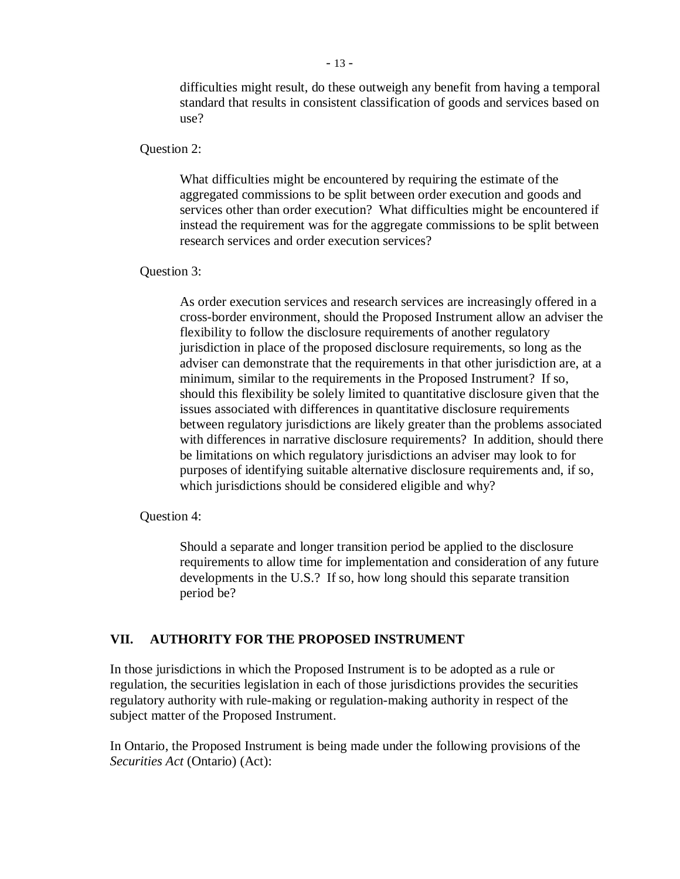difficulties might result, do these outweigh any benefit from having a temporal standard that results in consistent classification of goods and services based on use?

Question 2:

What difficulties might be encountered by requiring the estimate of the aggregated commissions to be split between order execution and goods and services other than order execution? What difficulties might be encountered if instead the requirement was for the aggregate commissions to be split between research services and order execution services?

Question 3:

As order execution services and research services are increasingly offered in a cross-border environment, should the Proposed Instrument allow an adviser the flexibility to follow the disclosure requirements of another regulatory jurisdiction in place of the proposed disclosure requirements, so long as the adviser can demonstrate that the requirements in that other jurisdiction are, at a minimum, similar to the requirements in the Proposed Instrument? If so, should this flexibility be solely limited to quantitative disclosure given that the issues associated with differences in quantitative disclosure requirements between regulatory jurisdictions are likely greater than the problems associated with differences in narrative disclosure requirements? In addition, should there be limitations on which regulatory jurisdictions an adviser may look to for purposes of identifying suitable alternative disclosure requirements and, if so, which jurisdictions should be considered eligible and why?

Question 4:

Should a separate and longer transition period be applied to the disclosure requirements to allow time for implementation and consideration of any future developments in the U.S.? If so, how long should this separate transition period be?

#### **VII. AUTHORITY FOR THE PROPOSED INSTRUMENT**

In those jurisdictions in which the Proposed Instrument is to be adopted as a rule or regulation, the securities legislation in each of those jurisdictions provides the securities regulatory authority with rule-making or regulation-making authority in respect of the subject matter of the Proposed Instrument.

In Ontario, the Proposed Instrument is being made under the following provisions of the *Securities Act* (Ontario) (Act):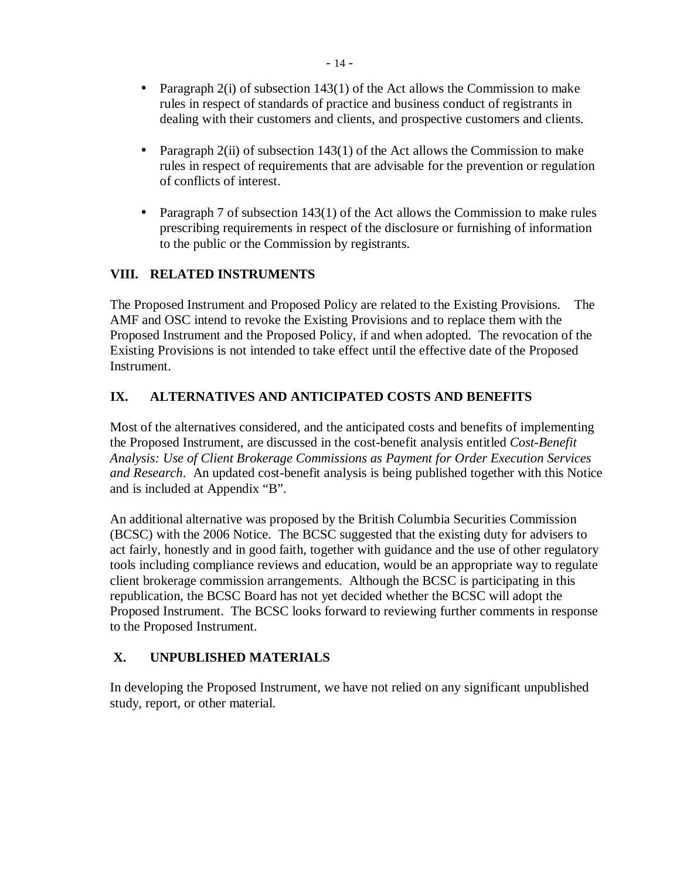- Paragraph  $2(i)$  of subsection 143(1) of the Act allows the Commission to make rules in respect of standards of practice and business conduct of registrants in dealing with their customers and clients, and prospective customers and clients.
- Paragraph  $2(ii)$  of subsection 143(1) of the Act allows the Commission to make rules in respect of requirements that are advisable for the prevention or regulation of conflicts of interest.
- Paragraph 7 of subsection 143(1) of the Act allows the Commission to make rules prescribing requirements in respect of the disclosure or furnishing of information to the public or the Commission by registrants.

# **VIII. RELATED INSTRUMENTS**

The Proposed Instrument and Proposed Policy are related to the Existing Provisions. The AMF and OSC intend to revoke the Existing Provisions and to replace them with the Proposed Instrument and the Proposed Policy, if and when adopted. The revocation of the Existing Provisions is not intended to take effect until the effective date of the Proposed Instrument.

## **IX. ALTERNATIVES AND ANTICIPATED COSTS AND BENEFITS**

Most of the alternatives considered, and the anticipated costs and benefits of implementing the Proposed Instrument, are discussed in the cost-benefit analysis entitled *Cost-Benefit Analysis: Use of Client Brokerage Commissions as Payment for Order Execution Services and Research*. An updated cost-benefit analysis is being published together with this Notice and is included at Appendix "B".

An additional alternative was proposed by the British Columbia Securities Commission (BCSC) with the 2006 Notice. The BCSC suggested that the existing duty for advisers to act fairly, honestly and in good faith, together with guidance and the use of other regulatory tools including compliance reviews and education, would be an appropriate way to regulate client brokerage commission arrangements. Although the BCSC is participating in this republication, the BCSC Board has not yet decided whether the BCSC will adopt the Proposed Instrument. The BCSC looks forward to reviewing further comments in response to the Proposed Instrument.

#### **X. UNPUBLISHED MATERIALS**

In developing the Proposed Instrument, we have not relied on any significant unpublished study, report, or other material.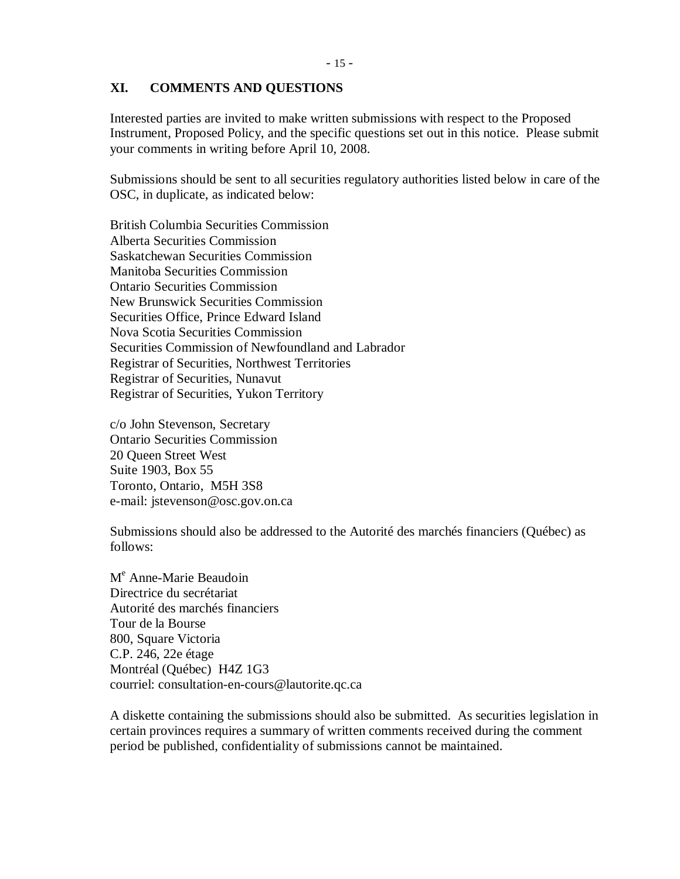#### **XI. COMMENTS AND QUESTIONS**

Interested parties are invited to make written submissions with respect to the Proposed Instrument, Proposed Policy, and the specific questions set out in this notice. Please submit your comments in writing before April 10, 2008.

Submissions should be sent to all securities regulatory authorities listed below in care of the OSC, in duplicate, as indicated below:

British Columbia Securities Commission Alberta Securities Commission Saskatchewan Securities Commission Manitoba Securities Commission Ontario Securities Commission New Brunswick Securities Commission Securities Office, Prince Edward Island Nova Scotia Securities Commission Securities Commission of Newfoundland and Labrador Registrar of Securities, Northwest Territories Registrar of Securities, Nunavut Registrar of Securities, Yukon Territory

c/o John Stevenson, Secretary Ontario Securities Commission 20 Queen Street West Suite 1903, Box 55 Toronto, Ontario, M5H 3S8 e-mail: jstevenson@osc.gov.on.ca

Submissions should also be addressed to the Autorité des marchés financiers (Québec) as follows:

M<sup>e</sup> Anne-Marie Beaudoin Directrice du secrétariat Autorité des marchés financiers Tour de la Bourse 800, Square Victoria C.P. 246, 22e étage Montréal (Québec) H4Z 1G3 courriel: consultation-en-cours@lautorite.qc.ca

A diskette containing the submissions should also be submitted. As securities legislation in certain provinces requires a summary of written comments received during the comment period be published, confidentiality of submissions cannot be maintained.